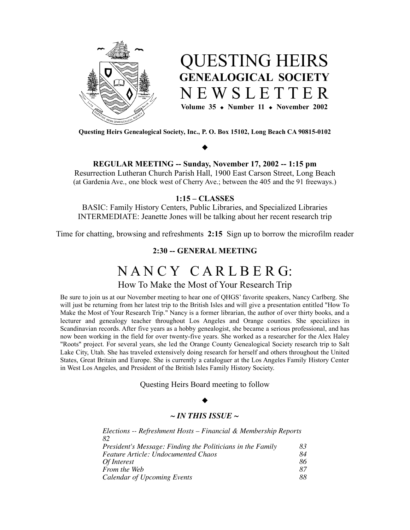



**Questing Heirs Genealogical Society, Inc., P. O. Box 15102, Long Beach CA 90815-0102**

# $\blacklozenge$

**REGULAR MEETING -- Sunday, November 17, 2002 -- 1:15 pm**

Resurrection Lutheran Church Parish Hall, 1900 East Carson Street, Long Beach (at Gardenia Ave., one block west of Cherry Ave.; between the 405 and the 91 freeways.)

## **1:15 – CLASSES**

BASIC: Family History Centers, Public Libraries, and Specialized Libraries INTERMEDIATE: Jeanette Jones will be talking about her recent research trip

Time for chatting, browsing and refreshments **2:15** Sign up to borrow the microfilm reader

## **2:30 -- GENERAL MEETING**

# N A N C Y C A R L B E R G:

How To Make the Most of Your Research Trip

Be sure to join us at our November meeting to hear one of QHGS' favorite speakers, Nancy Carlberg. She will just be returning from her latest trip to the British Isles and will give a presentation entitled "How To Make the Most of Your Research Trip." Nancy is a former librarian, the author of over thirty books, and a lecturer and genealogy teacher throughout Los Angeles and Orange counties. She specializes in Scandinavian records. After five years as a hobby genealogist, she became a serious professional, and has now been working in the field for over twenty-five years. She worked as a researcher for the Alex Haley "Roots" project. For several years, she led the Orange County Genealogical Society research trip to Salt Lake City, Utah. She has traveled extensively doing research for herself and others throughout the United States, Great Britain and Europe. She is currently a cataloguer at the Los Angeles Family History Center in West Los Angeles, and President of the British Isles Family History Society.

Questing Heirs Board meeting to follow

#### $\blacklozenge$

#### *~ IN THIS ISSUE ~*

| Elections -- Refreshment Hosts – Financial & Membership Reports |    |
|-----------------------------------------------------------------|----|
| 82                                                              |    |
| President's Message: Finding the Politicians in the Family      | 83 |
| <b>Feature Article: Undocumented Chaos</b>                      | 84 |
| Of Interest                                                     | 86 |
| From the Web                                                    | 87 |
| Calendar of Upcoming Events                                     | 88 |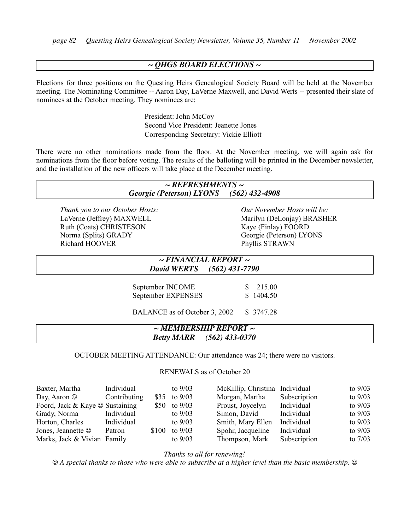## *~ QHGS BOARD ELECTIONS ~*

Elections for three positions on the Questing Heirs Genealogical Society Board will be held at the November meeting. The Nominating Committee -- Aaron Day, LaVerne Maxwell, and David Werts -- presented their slate of nominees at the October meeting. They nominees are:

> President: John McCoy Second Vice President: Jeanette Jones Corresponding Secretary: Vickie Elliott

There were no other nominations made from the floor. At the November meeting, we will again ask for nominations from the floor before voting. The results of the balloting will be printed in the December newsletter, and the installation of the new officers will take place at the December meeting.

## *~ REFRESHMENTS ~ Georgie (Peterson) LYONS (562) 432-4908*

*Thank you to our October Hosts:* LaVerne (Jeffrey) MAXWELL Ruth (Coats) CHRISTESON Norma (Splits) GRADY Richard HOOVER

*Our November Hosts will be:* Marilyn (DeLonjay) BRASHER Kaye (Finlay) FOORD Georgie (Peterson) LYONS Phyllis STRAWN

## *~ FINANCIAL REPORT ~ David WERTS (562) 431-7790*

September INCOME  $$ 215.00$ September EXPENSES \$ 1404.50

BALANCE as of October 3, 2002 \$ 3747.28

## *~ MEMBERSHIP REPORT ~ Betty MARR (562) 433-0370*

OCTOBER MEETING ATTENDANCE: Our attendance was 24; there were no visitors.

RENEWALS as of October 20

| Baxter, Martha                        | Individual   |       | to $9/03$      | McKillip, Christina Individual |              | to $9/03$ |
|---------------------------------------|--------------|-------|----------------|--------------------------------|--------------|-----------|
| Day, Aaron $\odot$                    | Contributing |       | \$35 to $9/03$ | Morgan, Martha                 | Subscription | to $9/03$ |
| Foord, Jack & Kaye $\odot$ Sustaining |              |       | \$50 to $9/03$ | Proust, Joycelyn               | Individual   | to $9/03$ |
| Grady, Norma                          | Individual   |       | to $9/03$      | Simon, David                   | Individual   | to $9/03$ |
| Horton, Charles                       | Individual   |       | to $9/03$      | Smith, Mary Ellen              | Individual   | to $9/03$ |
| Jones, Jeannette $\odot$              | Patron       | \$100 | to $9/03$      | Spohr, Jacqueline              | Individual   | to $9/03$ |
| Marks, Jack & Vivian Family           |              |       | to $9/03$      | Thompson, Mark                 | Subscription | to $7/03$ |

*Thanks to all for renewing!*

 $\odot$  A special thanks to those who were able to subscribe at a higher level than the basic membership.  $\odot$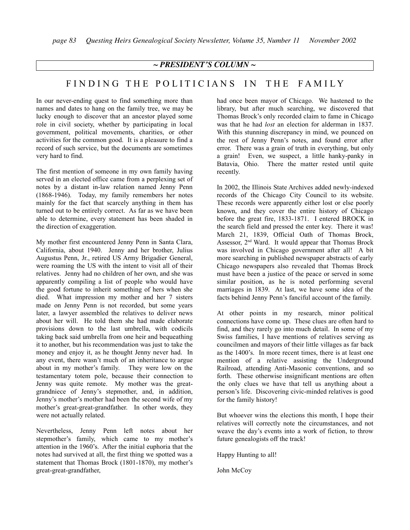## *~ PRESIDENT'S COLUMN ~*

## FINDING THE POLITICIANS IN THE FAMILY

In our never-ending quest to find something more than names and dates to hang on the family tree, we may be lucky enough to discover that an ancestor played some role in civil society, whether by participating in local government, political movements, charities, or other activities for the common good. It is a pleasure to find a record of such service, but the documents are sometimes very hard to find.

The first mention of someone in my own family having served in an elected office came from a perplexing set of notes by a distant in-law relation named Jenny Penn (1868-1946). Today, my family remembers her notes mainly for the fact that scarcely anything in them has turned out to be entirely correct. As far as we have been able to determine, every statement has been shaded in the direction of exaggeration.

My mother first encountered Jenny Penn in Santa Clara, California, about 1940. Jenny and her brother, Julius Augustus Penn, Jr., retired US Army Brigadier General, were roaming the US with the intent to visit all of their relatives. Jenny had no children of her own, and she was apparently compiling a list of people who would have the good fortune to inherit something of hers when she died. What impression my mother and her 7 sisters made on Jenny Penn is not recorded, but some years later, a lawyer assembled the relatives to deliver news about her will. He told them she had made elaborate provisions down to the last umbrella, with codicils taking back said umbrella from one heir and bequeathing it to another, but his recommendation was just to take the money and enjoy it, as he thought Jenny never had. In any event, there wasn't much of an inheritance to argue about in my mother's family. They were low on the testamentary totem pole, because their connection to Jenny was quite remote. My mother was the greatgrandniece of Jenny's stepmother, and, in addition, Jenny's mother's mother had been the second wife of my mother's great-great-grandfather. In other words, they were not actually related.

Nevertheless, Jenny Penn left notes about her stepmother's family, which came to my mother's attention in the 1960's. After the initial euphoria that the notes had survived at all, the first thing we spotted was a statement that Thomas Brock (1801-1870), my mother's great-great-grandfather,

had once been mayor of Chicago. We hastened to the library, but after much searching, we discovered that Thomas Brock's only recorded claim to fame in Chicago was that he had *lost* an election for alderman in 1837. With this stunning discrepancy in mind, we pounced on the rest of Jenny Penn's notes, and found error after error. There was a grain of truth in everything, but only a grain! Even, we suspect, a little hanky-panky in Batavia, Ohio. There the matter rested until quite recently.

In 2002, the Illinois State Archives added newly-indexed records of the Chicago City Council to its website. These records were apparently either lost or else poorly known, and they cover the entire history of Chicago before the great fire, 1833-1871. I entered BROCK in the search field and pressed the enter key. There it was! March 21, 1839, Official Oath of Thomas Brock, Assessor, 2<sup>nd</sup> Ward. It would appear that Thomas Brock was involved in Chicago government after all! A bit more searching in published newspaper abstracts of early Chicago newspapers also revealed that Thomas Brock must have been a justice of the peace or served in some similar position, as he is noted performing several marriages in 1839. At last, we have some idea of the facts behind Jenny Penn's fanciful account of the family.

At other points in my research, minor political connections have come up. These clues are often hard to find, and they rarely go into much detail. In some of my Swiss families, I have mentions of relatives serving as councilmen and mayors of their little villages as far back as the 1400's. In more recent times, there is at least one mention of a relative assisting the Underground Railroad, attending Anti-Masonic conventions, and so forth. These otherwise insignificant mentions are often the only clues we have that tell us anything about a person's life. Discovering civic-minded relatives is good for the family history!

But whoever wins the elections this month, I hope their relatives will correctly note the circumstances, and not weave the day's events into a work of fiction, to throw future genealogists off the track!

Happy Hunting to all!

John McCoy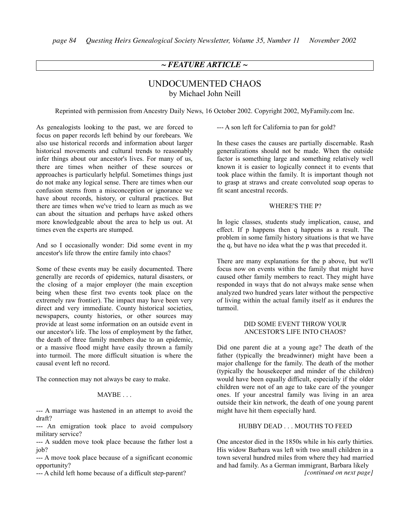## *~ FEATURE ARTICLE ~*

## UNDOCUMENTED CHAOS by Michael John Neill

Reprinted with permission from Ancestry Daily News, 16 October 2002. Copyright 2002, MyFamily.com Inc.

As genealogists looking to the past, we are forced to focus on paper records left behind by our forebears. We also use historical records and information about larger historical movements and cultural trends to reasonably infer things about our ancestor's lives. For many of us, there are times when neither of these sources or approaches is particularly helpful. Sometimes things just do not make any logical sense. There are times when our confusion stems from a misconception or ignorance we have about records, history, or cultural practices. But there are times when we've tried to learn as much as we can about the situation and perhaps have asked others more knowledgeable about the area to help us out. At times even the experts are stumped.

And so I occasionally wonder: Did some event in my ancestor's life throw the entire family into chaos?

Some of these events may be easily documented. There generally are records of epidemics, natural disasters, or the closing of a major employer (the main exception being when these first two events took place on the extremely raw frontier). The impact may have been very direct and very immediate. County historical societies, newspapers, county histories, or other sources may provide at least some information on an outside event in our ancestor's life. The loss of employment by the father, the death of three family members due to an epidemic, or a massive flood might have easily thrown a family into turmoil. The more difficult situation is where the causal event left no record.

The connection may not always be easy to make.

#### MAYBE . . .

--- A marriage was hastened in an attempt to avoid the draft?

--- An emigration took place to avoid compulsory military service?

--- A sudden move took place because the father lost a job?

--- A move took place because of a significant economic opportunity?

--- A child left home because of a difficult step-parent?

--- A son left for California to pan for gold?

In these cases the causes are partially discernable. Rash generalizations should not be made. When the outside factor is something large and something relatively well known it is easier to logically connect it to events that took place within the family. It is important though not to grasp at straws and create convoluted soap operas to fit scant ancestral records.

#### WHERE'S THE P?

In logic classes, students study implication, cause, and effect. If p happens then q happens as a result. The problem in some family history situations is that we have the q, but have no idea what the p was that preceded it.

There are many explanations for the p above, but we'll focus now on events within the family that might have caused other family members to react. They might have responded in ways that do not always make sense when analyzed two hundred years later without the perspective of living within the actual family itself as it endures the turmoil.

#### DID SOME EVENT THROW YOUR ANCESTOR'S LIFE INTO CHAOS?

Did one parent die at a young age? The death of the father (typically the breadwinner) might have been a major challenge for the family. The death of the mother (typically the housekeeper and minder of the children) would have been equally difficult, especially if the older children were not of an age to take care of the younger ones. If your ancestral family was living in an area outside their kin network, the death of one young parent might have hit them especially hard.

#### HUBBY DEAD . . . MOUTHS TO FEED

One ancestor died in the 1850s while in his early thirties. His widow Barbara was left with two small children in a town several hundred miles from where they had married and had family. As a German immigrant, Barbara likely *[continued on next page]*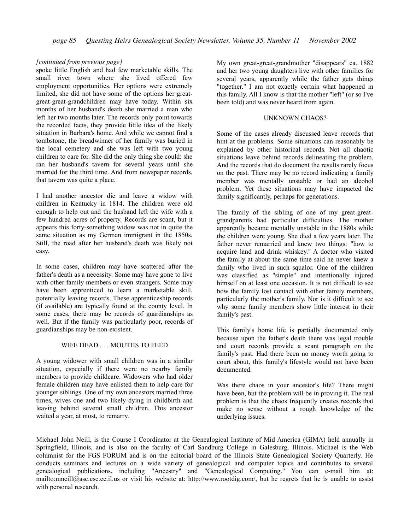#### *[continued from previous page]*

spoke little English and had few marketable skills. The small river town where she lived offered few employment opportunities. Her options were extremely limited, she did not have some of the options her greatgreat-great-grandchildren may have today. Within six months of her husband's death she married a man who left her two months later. The records only point towards the recorded facts, they provide little idea of the likely situation in Barbara's home. And while we cannot find a tombstone, the breadwinner of her family was buried in the local cemetery and she was left with two young children to care for. She did the only thing she could: she ran her husband's tavern for several years until she married for the third time. And from newspaper records, that tavern was quite a place.

I had another ancestor die and leave a widow with children in Kentucky in 1814. The children were old enough to help out and the husband left the wife with a few hundred acres of property. Records are scant, but it appears this forty-something widow was not in quite the same situation as my German immigrant in the 1850s. Still, the road after her husband's death was likely not easy.

In some cases, children may have scattered after the father's death as a necessity. Some may have gone to live with other family members or even strangers. Some may have been apprenticed to learn a marketable skill, potentially leaving records. These apprenticeship records (if available) are typically found at the county level. In some cases, there may be records of guardianships as well. But if the family was particularly poor, records of guardianships may be non-existent.

#### WIFE DEAD . . . MOUTHS TO FEED

A young widower with small children was in a similar situation, especially if there were no nearby family members to provide childcare. Widowers who had older female children may have enlisted them to help care for younger siblings. One of my own ancestors married three times, wives one and two likely dying in childbirth and leaving behind several small children. This ancestor waited a year, at most, to remarry.

My own great-great-grandmother "disappears" ca. 1882 and her two young daughters live with other families for several years, apparently while the father gets things "together." I am not exactly certain what happened in this family. All I know is that the mother "left" (or so I've been told) and was never heard from again.

#### UNKNOWN CHAOS?

Some of the cases already discussed leave records that hint at the problems. Some situations can reasonably be explained by other historical records. Not all chaotic situations leave behind records delineating the problem. And the records that do document the results rarely focus on the past. There may be no record indicating a family member was mentally unstable or had an alcohol problem. Yet these situations may have impacted the family significantly, perhaps for generations.

The family of the sibling of one of my great-greatgrandparents had particular difficulties. The mother apparently became mentally unstable in the 1880s while the children were young. She died a few years later. The father never remarried and knew two things: "how to acquire land and drink whiskey." A doctor who visited the family at about the same time said he never knew a family who lived in such squalor. One of the children was classified as "simple" and intentionally injured himself on at least one occasion. It is not difficult to see how the family lost contact with other family members, particularly the mother's family. Nor is it difficult to see why some family members show little interest in their family's past.

This family's home life is partially documented only because upon the father's death there was legal trouble and court records provide a scant paragraph on the family's past. Had there been no money worth going to court about, this family's lifestyle would not have been documented.

Was there chaos in your ancestor's life? There might have been, but the problem will be in proving it. The real problem is that the chaos frequently creates records that make no sense without a rough knowledge of the underlying issues.

Michael John Neill, is the Course I Coordinator at the Genealogical Institute of Mid America (GIMA) held annually in Springfield, Illinois, and is also on the faculty of Carl Sandburg College in Galesburg, Illinois. Michael is the Web columnist for the FGS FORUM and is on the editorial board of the Illinois State Genealogical Society Quarterly. He conducts seminars and lectures on a wide variety of genealogical and computer topics and contributes to several genealogical publications, including "Ancestry" and "Genealogical Computing." You can e-mail him at: mailto:mneill@asc.csc.cc.il.us or visit his website at: http://www.rootdig.com/, but he regrets that he is unable to assist with personal research.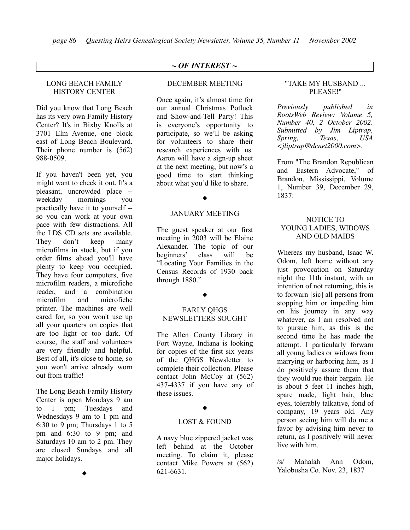## *~ OF INTEREST ~*

## LONG BEACH FAMILY HISTORY CENTER

Did you know that Long Beach has its very own Family History Center? It's in Bixby Knolls at 3701 Elm Avenue, one block east of Long Beach Boulevard. Their phone number is (562) 988-0509.

If you haven't been yet, you might want to check it out. It's a pleasant, uncrowded place - weekday mornings you practically have it to yourself - so you can work at your own pace with few distractions. All the LDS CD sets are available. They don't keep many microfilms in stock, but if you order films ahead you'll have plenty to keep you occupied. They have four computers, five microfilm readers, a microfiche reader, and a combination microfilm and microfiche printer. The machines are well cared for, so you won't use up all your quarters on copies that are too light or too dark. Of course, the staff and volunteers are very friendly and helpful. Best of all, it's close to home, so you won't arrive already worn out from traffic!

The Long Beach Family History Center is open Mondays 9 am to 1 pm; Tuesdays and Wednesdays 9 am to 1 pm and 6:30 to 9 pm; Thursdays 1 to 5 pm and 6:30 to 9 pm; and Saturdays 10 am to 2 pm. They are closed Sundays and all major holidays.

 $\blacklozenge$ 

#### DECEMBER MEETING

Once again, it's almost time for our annual Christmas Potluck and Show-and-Tell Party! This is everyone's opportunity to participate, so we'll be asking for volunteers to share their research experiences with us. Aaron will have a sign-up sheet at the next meeting, but now's a good time to start thinking about what you'd like to share.

#### $\blacklozenge$

#### JANUARY MEETING

The guest speaker at our first meeting in 2003 will be Elaine Alexander. The topic of our beginners' class will be "Locating Your Families in the Census Records of 1930 back through 1880."

#### $\blacklozenge$

#### EARLY QHGS NEWSLETTERS SOUGHT

The Allen County Library in Fort Wayne, Indiana is looking for copies of the first six years of the QHGS Newsletter to complete their collection. Please contact John McCoy at (562) 437-4337 if you have any of these issues.

#### $\blacklozenge$

#### LOST & FOUND

A navy blue zippered jacket was left behind at the October meeting. To claim it, please contact Mike Powers at (562) 621-6631.

#### "TAKE MY HUSBAND ... PLEASE!"

*Previously published in RootsWeb Review: Volume 5, Number 40, 2 October 2002. Submitted by Jim Liptrap, Spring, Texas, USA <jliptrap@dcnet2000.com>.*

From "The Brandon Republican and Eastern Advocate," of Brandon, Mississippi, Volume 1, Number 39, December 29, 1837:

#### NOTICE TO YOUNG LADIES, WIDOWS AND OLD MAIDS

Whereas my husband, Isaac W. Odom, left home without any just provocation on Saturday night the 11th instant, with an intention of not returning, this is to forwarn [sic] all persons from stopping him or impeding him on his journey in any way whatever, as I am resolved not to pursue him, as this is the second time he has made the attempt. I particularly forwarn all young ladies or widows from marrying or harboring him, as I do positively assure them that they would rue their bargain. He is about 5 feet 11 inches high, spare made, light hair, blue eyes, tolerably talkative, fond of company, 19 years old. Any person seeing him will do me a favor by advising him never to return, as I positively will never live with him.

/s/ Mahalah Ann Odom, Yalobusha Co. Nov. 23, 1837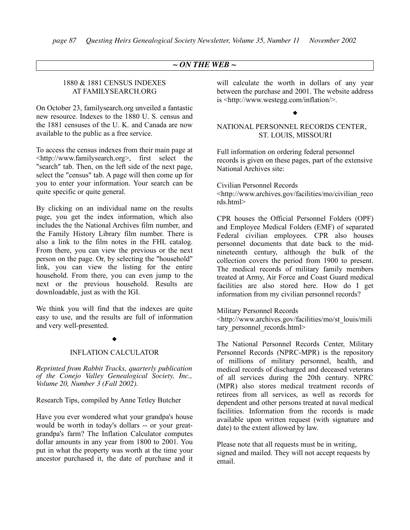## *~ ON THE WEB ~*

## 1880 & 1881 CENSUS INDEXES AT FAMILYSEARCH.ORG

On October 23, familysearch.org unveiled a fantastic new resource. Indexes to the 1880 U. S. census and the 1881 censuses of the U. K. and Canada are now available to the public as a free service.

To access the census indexes from their main page at <http://www.familysearch.org>, first select the "search" tab. Then, on the left side of the next page, select the "census" tab. A page will then come up for you to enter your information. Your search can be quite specific or quite general.

By clicking on an individual name on the results page, you get the index information, which also includes the the National Archives film number, and the Family History Library film number. There is also a link to the film notes in the FHL catalog. From there, you can view the previous or the next person on the page. Or, by selecting the "household" link, you can view the listing for the entire household. From there, you can even jump to the next or the previous household. Results are downloadable, just as with the IGI.

We think you will find that the indexes are quite easy to use, and the results are full of information and very well-presented.

#### $\blacklozenge$

#### INFLATION CALCULATOR

*Reprinted from Rabbit Tracks, quarterly publication of the Conejo Valley Genealogical Society, Inc., Volume 20, Number 3 (Fall 2002).*

Research Tips, compiled by Anne Tetley Butcher

Have you ever wondered what your grandpa's house would be worth in today's dollars -- or your greatgrandpa's farm? The Inflation Calculator computes dollar amounts in any year from 1800 to 2001. You put in what the property was worth at the time your ancestor purchased it, the date of purchase and it will calculate the worth in dollars of any year between the purchase and 2001. The website address is <http://www.westegg.com/inflation/>.

#### $\blacklozenge$

### NATIONAL PERSONNEL RECORDS CENTER, ST. LOUIS, MISSOURI

Full information on ordering federal personnel records is given on these pages, part of the extensive National Archives site:

Civilian Personnel Records <http://www.archives.gov/facilities/mo/civilian\_reco rds.html>

CPR houses the Official Personnel Folders (OPF) and Employee Medical Folders (EMF) of separated Federal civilian employees. CPR also houses personnel documents that date back to the midnineteenth century, although the bulk of the collection covers the period from 1900 to present. The medical records of military family members treated at Army, Air Force and Coast Guard medical facilities are also stored here. How do I get information from my civilian personnel records?

Military Personnel Records

<http://www.archives.gov/facilities/mo/st\_louis/mili tary personnel records.html>

The National Personnel Records Center, Military Personnel Records (NPRC-MPR) is the repository of millions of military personnel, health, and medical records of discharged and deceased veterans of all services during the 20th century. NPRC (MPR) also stores medical treatment records of retirees from all services, as well as records for dependent and other persons treated at naval medical facilities. Information from the records is made available upon written request (with signature and date) to the extent allowed by law.

Please note that all requests must be in writing, signed and mailed. They will not accept requests by email.